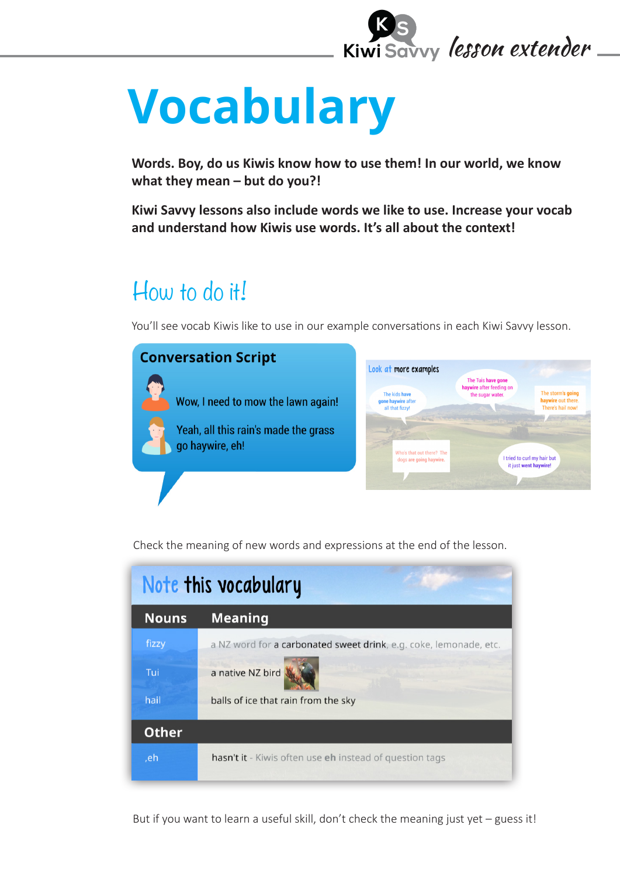

# **Vocabulary**

**Words. Boy, do us Kiwis know how to use them! In our world, we know what they mean – but do you?!** 

**Kiwi Savvy lessons also include words we like to use. Increase your vocab and understand how Kiwis use words. It's all about the context!**

## How to do it!

You'll see vocab Kiwis like to use in our example conversations in each Kiwi Savvy lesson.



Check the meaning of new words and expressions at the end of the lesson.

| Note this vocabulary |                                                                       |
|----------------------|-----------------------------------------------------------------------|
| <b>Nouns</b>         | <b>Meaning</b>                                                        |
| fizzy                | a NZ word for a carbonated sweet drink, e.g. coke, lemonade, etc.     |
| Tui                  | a native NZ bird                                                      |
| hail                 | balls of ice that rain from the sky                                   |
| <b>Other</b>         |                                                                       |
| ,eh                  | <b>hasn't it</b> - Kiwis often use <b>eh</b> instead of question tags |

But if you want to learn a useful skill, don't check the meaning just yet – guess it!